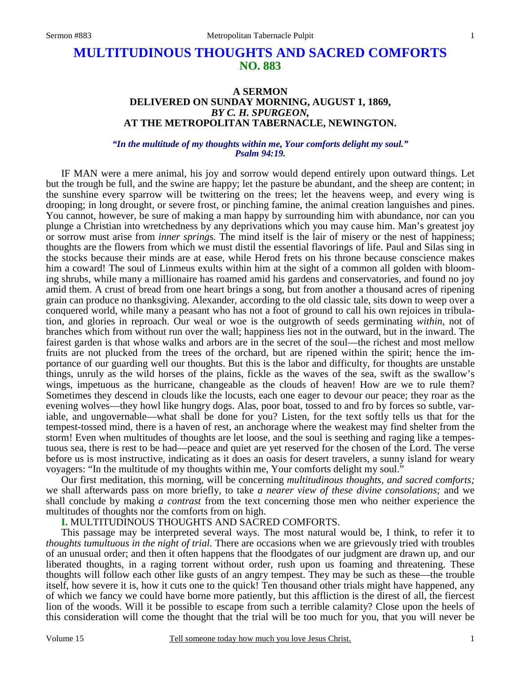# **MULTITUDINOUS THOUGHTS AND SACRED COMFORTS NO. 883**

### **A SERMON DELIVERED ON SUNDAY MORNING, AUGUST 1, 1869,**  *BY C. H. SPURGEON,*  **AT THE METROPOLITAN TABERNACLE, NEWINGTON.**

#### *"In the multitude of my thoughts within me, Your comforts delight my soul." Psalm 94:19.*

IF MAN were a mere animal, his joy and sorrow would depend entirely upon outward things. Let but the trough be full, and the swine are happy; let the pasture be abundant, and the sheep are content; in the sunshine every sparrow will be twittering on the trees; let the heavens weep, and every wing is drooping; in long drought, or severe frost, or pinching famine, the animal creation languishes and pines. You cannot, however, be sure of making a man happy by surrounding him with abundance, nor can you plunge a Christian into wretchedness by any deprivations which you may cause him. Man's greatest joy or sorrow must arise from *inner springs.* The mind itself is the lair of misery or the nest of happiness; thoughts are the flowers from which we must distil the essential flavorings of life. Paul and Silas sing in the stocks because their minds are at ease, while Herod frets on his throne because conscience makes him a coward! The soul of Linmeus exults within him at the sight of a common all golden with blooming shrubs, while many a millionaire has roamed amid his gardens and conservatories, and found no joy amid them. A crust of bread from one heart brings a song, but from another a thousand acres of ripening grain can produce no thanksgiving. Alexander, according to the old classic tale, sits down to weep over a conquered world, while many a peasant who has not a foot of ground to call his own rejoices in tribulation, and glories in reproach. Our weal or woe is the outgrowth of seeds germinating *within*, not of branches which from without run over the wall; happiness lies not in the outward, but in the inward. The fairest garden is that whose walks and arbors are in the secret of the soul—the richest and most mellow fruits are not plucked from the trees of the orchard, but are ripened within the spirit; hence the importance of our guarding well our thoughts. But this is the labor and difficulty, for thoughts are unstable things, unruly as the wild horses of the plains, fickle as the waves of the sea, swift as the swallow's wings, impetuous as the hurricane, changeable as the clouds of heaven! How are we to rule them? Sometimes they descend in clouds like the locusts, each one eager to devour our peace; they roar as the evening wolves—they howl like hungry dogs. Alas, poor boat, tossed to and fro by forces so subtle, variable, and ungovernable—what shall be done for you? Listen, for the text softly tells us that for the tempest-tossed mind, there is a haven of rest, an anchorage where the weakest may find shelter from the storm! Even when multitudes of thoughts are let loose, and the soul is seething and raging like a tempestuous sea, there is rest to be had—peace and quiet are yet reserved for the chosen of the Lord. The verse before us is most instructive, indicating as it does an oasis for desert travelers, a sunny island for weary voyagers: "In the multitude of my thoughts within me, Your comforts delight my soul."

 Our first meditation, this morning, will be concerning *multitudinous thoughts, and sacred comforts;*  we shall afterwards pass on more briefly, to take *a nearer view of these divine consolations;* and we shall conclude by making *a contrast* from the text concerning those men who neither experience the multitudes of thoughts nor the comforts from on high.

# **I.** MULTITUDINOUS THOUGHTS AND SACRED COMFORTS.

 This passage may be interpreted several ways. The most natural would be, I think, to refer it to *thoughts tumultuous in the night of trial.* There are occasions when we are grievously tried with troubles of an unusual order; and then it often happens that the floodgates of our judgment are drawn up, and our liberated thoughts, in a raging torrent without order, rush upon us foaming and threatening. These thoughts will follow each other like gusts of an angry tempest. They may be such as these—the trouble itself, how severe it is, how it cuts one to the quick! Ten thousand other trials might have happened, any of which we fancy we could have borne more patiently, but this affliction is the direst of all, the fiercest lion of the woods. Will it be possible to escape from such a terrible calamity? Close upon the heels of this consideration will come the thought that the trial will be too much for you, that you will never be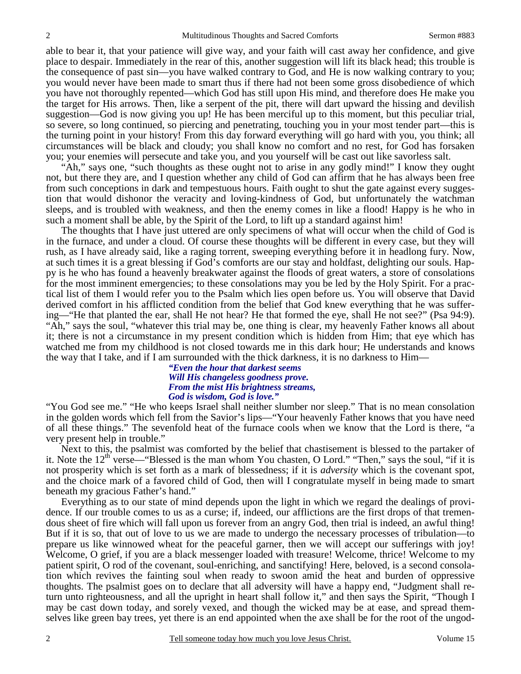able to bear it, that your patience will give way, and your faith will cast away her confidence, and give place to despair. Immediately in the rear of this, another suggestion will lift its black head; this trouble is the consequence of past sin—you have walked contrary to God, and He is now walking contrary to you; you would never have been made to smart thus if there had not been some gross disobedience of which you have not thoroughly repented—which God has still upon His mind, and therefore does He make you the target for His arrows. Then, like a serpent of the pit, there will dart upward the hissing and devilish suggestion—God is now giving you up! He has been merciful up to this moment, but this peculiar trial, so severe, so long continued, so piercing and penetrating, touching you in your most tender part—this is the turning point in your history! From this day forward everything will go hard with you, you think; all circumstances will be black and cloudy; you shall know no comfort and no rest, for God has forsaken you; your enemies will persecute and take you, and you yourself will be cast out like savorless salt.

 "Ah," says one, "such thoughts as these ought not to arise in any godly mind!" I know they ought not, but there they are, and I question whether any child of God can affirm that he has always been free from such conceptions in dark and tempestuous hours. Faith ought to shut the gate against every suggestion that would dishonor the veracity and loving-kindness of God, but unfortunately the watchman sleeps, and is troubled with weakness, and then the enemy comes in like a flood! Happy is he who in such a moment shall be able, by the Spirit of the Lord, to lift up a standard against him!

 The thoughts that I have just uttered are only specimens of what will occur when the child of God is in the furnace, and under a cloud. Of course these thoughts will be different in every case, but they will rush, as I have already said, like a raging torrent, sweeping everything before it in headlong fury. Now, at such times it is a great blessing if God's comforts are our stay and holdfast, delighting our souls. Happy is he who has found a heavenly breakwater against the floods of great waters, a store of consolations for the most imminent emergencies; to these consolations may you be led by the Holy Spirit. For a practical list of them I would refer you to the Psalm which lies open before us. You will observe that David derived comfort in his afflicted condition from the belief that God knew everything that he was suffering—"He that planted the ear, shall He not hear? He that formed the eye, shall He not see?" (Psa 94:9). "Ah," says the soul, "whatever this trial may be, one thing is clear, my heavenly Father knows all about it; there is not a circumstance in my present condition which is hidden from Him; that eye which has watched me from my childhood is not closed towards me in this dark hour; He understands and knows the way that I take, and if I am surrounded with the thick darkness, it is no darkness to Him—

#### *"Even the hour that darkest seems Will His changeless goodness prove. From the mist His brightness streams, God is wisdom, God is love."*

"You God see me." "He who keeps Israel shall neither slumber nor sleep." That is no mean consolation in the golden words which fell from the Savior's lips—"Your heavenly Father knows that you have need of all these things." The sevenfold heat of the furnace cools when we know that the Lord is there, "a very present help in trouble."

 Next to this, the psalmist was comforted by the belief that chastisement is blessed to the partaker of it. Note the  $12<sup>th</sup>$  verse—"Blessed is the man whom You chasten, O Lord." "Then," says the soul, "if it is not prosperity which is set forth as a mark of blessedness; if it is *adversity* which is the covenant spot, and the choice mark of a favored child of God, then will I congratulate myself in being made to smart beneath my gracious Father's hand."

 Everything as to our state of mind depends upon the light in which we regard the dealings of providence. If our trouble comes to us as a curse; if, indeed, our afflictions are the first drops of that tremendous sheet of fire which will fall upon us forever from an angry God, then trial is indeed, an awful thing! But if it is so, that out of love to us we are made to undergo the necessary processes of tribulation—to prepare us like winnowed wheat for the peaceful garner, then we will accept our sufferings with joy! Welcome, O grief, if you are a black messenger loaded with treasure! Welcome, thrice! Welcome to my patient spirit, O rod of the covenant, soul-enriching, and sanctifying! Here, beloved, is a second consolation which revives the fainting soul when ready to swoon amid the heat and burden of oppressive thoughts. The psalmist goes on to declare that all adversity will have a happy end, "Judgment shall return unto righteousness, and all the upright in heart shall follow it," and then says the Spirit, "Though I may be cast down today, and sorely vexed, and though the wicked may be at ease, and spread themselves like green bay trees, yet there is an end appointed when the axe shall be for the root of the ungod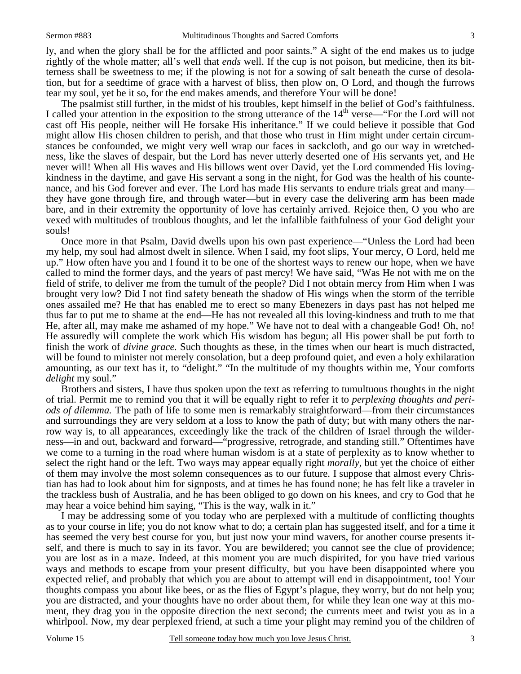ly, and when the glory shall be for the afflicted and poor saints." A sight of the end makes us to judge rightly of the whole matter; all's well that *ends* well. If the cup is not poison, but medicine, then its bitterness shall be sweetness to me; if the plowing is not for a sowing of salt beneath the curse of desolation, but for a seedtime of grace with a harvest of bliss, then plow on, O Lord, and though the furrows tear my soul, yet be it so, for the end makes amends, and therefore Your will be done!

 The psalmist still further, in the midst of his troubles, kept himself in the belief of God's faithfulness. I called your attention in the exposition to the strong utterance of the  $14<sup>th</sup>$  verse—"For the Lord will not cast off His people, neither will He forsake His inheritance." If we could believe it possible that God might allow His chosen children to perish, and that those who trust in Him might under certain circumstances be confounded, we might very well wrap our faces in sackcloth, and go our way in wretchedness, like the slaves of despair, but the Lord has never utterly deserted one of His servants yet, and He never will! When all His waves and His billows went over David, yet the Lord commended His lovingkindness in the daytime, and gave His servant a song in the night, for God was the health of his countenance, and his God forever and ever. The Lord has made His servants to endure trials great and many they have gone through fire, and through water—but in every case the delivering arm has been made bare, and in their extremity the opportunity of love has certainly arrived. Rejoice then, O you who are vexed with multitudes of troublous thoughts, and let the infallible faithfulness of your God delight your souls!

 Once more in that Psalm, David dwells upon his own past experience—"Unless the Lord had been my help, my soul had almost dwelt in silence. When I said, my foot slips, Your mercy, O Lord, held me up." How often have you and I found it to be one of the shortest ways to renew our hope, when we have called to mind the former days, and the years of past mercy! We have said, "Was He not with me on the field of strife, to deliver me from the tumult of the people? Did I not obtain mercy from Him when I was brought very low? Did I not find safety beneath the shadow of His wings when the storm of the terrible ones assailed me? He that has enabled me to erect so many Ebenezers in days past has not helped me thus far to put me to shame at the end—He has not revealed all this loving-kindness and truth to me that He, after all, may make me ashamed of my hope." We have not to deal with a changeable God! Oh, no! He assuredly will complete the work which His wisdom has begun; all His power shall be put forth to finish the work of *divine grace.* Such thoughts as these, in the times when our heart is much distracted, will be found to minister not merely consolation, but a deep profound quiet, and even a holy exhilaration amounting, as our text has it, to "delight." "In the multitude of my thoughts within me, Your comforts *delight* my soul."

 Brothers and sisters, I have thus spoken upon the text as referring to tumultuous thoughts in the night of trial. Permit me to remind you that it will be equally right to refer it to *perplexing thoughts and periods of dilemma.* The path of life to some men is remarkably straightforward—from their circumstances and surroundings they are very seldom at a loss to know the path of duty; but with many others the narrow way is, to all appearances, exceedingly like the track of the children of Israel through the wilderness—in and out, backward and forward—"progressive, retrograde, and standing still." Oftentimes have we come to a turning in the road where human wisdom is at a state of perplexity as to know whether to select the right hand or the left. Two ways may appear equally right *morally,* but yet the choice of either of them may involve the most solemn consequences as to our future. I suppose that almost every Christian has had to look about him for signposts, and at times he has found none; he has felt like a traveler in the trackless bush of Australia, and he has been obliged to go down on his knees, and cry to God that he may hear a voice behind him saying, "This is the way, walk in it."

 I may be addressing some of you today who are perplexed with a multitude of conflicting thoughts as to your course in life; you do not know what to do; a certain plan has suggested itself, and for a time it has seemed the very best course for you, but just now your mind wavers, for another course presents itself, and there is much to say in its favor. You are bewildered; you cannot see the clue of providence; you are lost as in a maze. Indeed, at this moment you are much dispirited, for you have tried various ways and methods to escape from your present difficulty, but you have been disappointed where you expected relief, and probably that which you are about to attempt will end in disappointment, too! Your thoughts compass you about like bees, or as the flies of Egypt's plague, they worry, but do not help you; you are distracted, and your thoughts have no order about them, for while they lean one way at this moment, they drag you in the opposite direction the next second; the currents meet and twist you as in a whirlpool. Now, my dear perplexed friend, at such a time your plight may remind you of the children of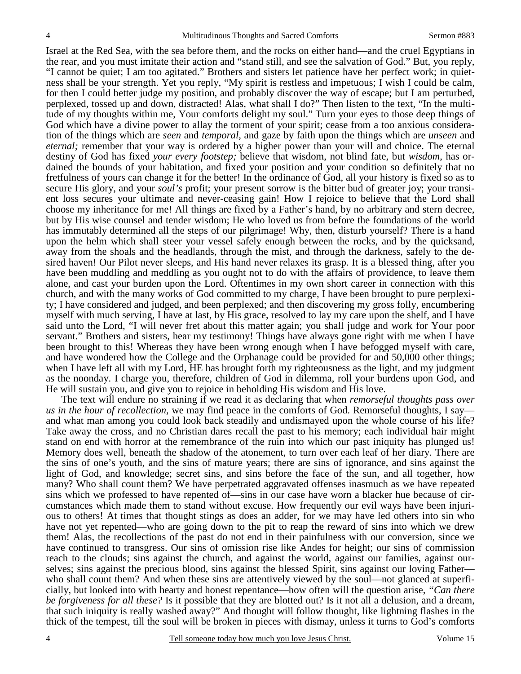Israel at the Red Sea, with the sea before them, and the rocks on either hand—and the cruel Egyptians in the rear, and you must imitate their action and "stand still, and see the salvation of God." But, you reply, "I cannot be quiet; I am too agitated." Brothers and sisters let patience have her perfect work; in quietness shall be your strength. Yet you reply, "My spirit is restless and impetuous; I wish I could be calm, for then I could better judge my position, and probably discover the way of escape; but I am perturbed, perplexed, tossed up and down, distracted! Alas, what shall I do?" Then listen to the text, "In the multitude of my thoughts within me, Your comforts delight my soul." Turn your eyes to those deep things of God which have a divine power to allay the torment of your spirit; cease from a too anxious consideration of the things which are *seen* and *temporal,* and gaze by faith upon the things which are *unseen* and *eternal;* remember that your way is ordered by a higher power than your will and choice. The eternal destiny of God has fixed *your every footstep;* believe that wisdom, not blind fate, but *wisdom*, has ordained the bounds of your habitation, and fixed your position and your condition so definitely that no fretfulness of yours can change it for the better! In the ordinance of God, all your history is fixed so as to secure His glory, and your *soul's* profit; your present sorrow is the bitter bud of greater joy; your transient loss secures your ultimate and never-ceasing gain! How I rejoice to believe that the Lord shall choose my inheritance for me! All things are fixed by a Father's hand, by no arbitrary and stern decree, but by His wise counsel and tender wisdom; He who loved us from before the foundations of the world has immutably determined all the steps of our pilgrimage! Why, then, disturb yourself? There is a hand upon the helm which shall steer your vessel safely enough between the rocks, and by the quicksand, away from the shoals and the headlands, through the mist, and through the darkness, safely to the desired haven! Our Pilot never sleeps, and His hand never relaxes its grasp. It is a blessed thing, after you have been muddling and meddling as you ought not to do with the affairs of providence, to leave them alone, and cast your burden upon the Lord. Oftentimes in my own short career in connection with this church, and with the many works of God committed to my charge, I have been brought to pure perplexity; I have considered and judged, and been perplexed; and then discovering my gross folly, encumbering myself with much serving, I have at last, by His grace, resolved to lay my care upon the shelf, and I have said unto the Lord, "I will never fret about this matter again; you shall judge and work for Your poor servant." Brothers and sisters, hear my testimony! Things have always gone right with me when I have been brought to this! Whereas they have been wrong enough when I have befogged myself with care, and have wondered how the College and the Orphanage could be provided for and 50,000 other things; when I have left all with my Lord, HE has brought forth my righteousness as the light, and my judgment as the noonday. I charge you, therefore, children of God in dilemma, roll your burdens upon God, and He will sustain you, and give you to rejoice in beholding His wisdom and His love.

 The text will endure no straining if we read it as declaring that when *remorseful thoughts pass over us in the hour of recollection,* we may find peace in the comforts of God. Remorseful thoughts, I say and what man among you could look back steadily and undismayed upon the whole course of his life? Take away the cross, and no Christian dares recall the past to his memory; each individual hair might stand on end with horror at the remembrance of the ruin into which our past iniquity has plunged us! Memory does well, beneath the shadow of the atonement, to turn over each leaf of her diary. There are the sins of one's youth, and the sins of mature years; there are sins of ignorance, and sins against the light of God, and knowledge; secret sins, and sins before the face of the sun, and all together, how many? Who shall count them? We have perpetrated aggravated offenses inasmuch as we have repeated sins which we professed to have repented of—sins in our case have worn a blacker hue because of circumstances which made them to stand without excuse. How frequently our evil ways have been injurious to others! At times that thought stings as does an adder, for we may have led others into sin who have not yet repented—who are going down to the pit to reap the reward of sins into which we drew them! Alas, the recollections of the past do not end in their painfulness with our conversion, since we have continued to transgress. Our sins of omission rise like Andes for height; our sins of commission reach to the clouds; sins against the church, and against the world, against our families, against ourselves; sins against the precious blood, sins against the blessed Spirit, sins against our loving Father who shall count them? And when these sins are attentively viewed by the soul—not glanced at superficially, but looked into with hearty and honest repentance—how often will the question arise, *"Can there be forgiveness for all these?* Is it possible that they are blotted out? Is it not all a delusion, and a dream, that such iniquity is really washed away?" And thought will follow thought, like lightning flashes in the thick of the tempest, till the soul will be broken in pieces with dismay, unless it turns to God's comforts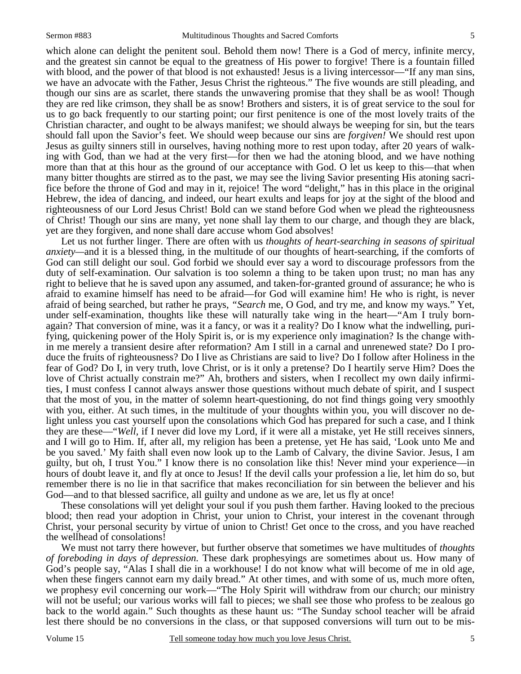which alone can delight the penitent soul. Behold them now! There is a God of mercy, infinite mercy, and the greatest sin cannot be equal to the greatness of His power to forgive! There is a fountain filled with blood, and the power of that blood is not exhausted! Jesus is a living intercessor—"If any man sins, we have an advocate with the Father, Jesus Christ the righteous." The five wounds are still pleading, and though our sins are as scarlet, there stands the unwavering promise that they shall be as wool! Though they are red like crimson, they shall be as snow! Brothers and sisters, it is of great service to the soul for us to go back frequently to our starting point; our first penitence is one of the most lovely traits of the Christian character, and ought to be always manifest; we should always be weeping for sin, but the tears should fall upon the Savior's feet. We should weep because our sins are *forgiven!* We should rest upon Jesus as guilty sinners still in ourselves, having nothing more to rest upon today, after 20 years of walking with God, than we had at the very first—for then we had the atoning blood, and we have nothing more than that at this hour as the ground of our acceptance with God. O let us keep to this—that when many bitter thoughts are stirred as to the past, we may see the living Savior presenting His atoning sacrifice before the throne of God and may in it, rejoice! The word "delight," has in this place in the original Hebrew, the idea of dancing, and indeed, our heart exults and leaps for joy at the sight of the blood and righteousness of our Lord Jesus Christ! Bold can we stand before God when we plead the righteousness of Christ! Though our sins are many, yet none shall lay them to our charge, and though they are black, yet are they forgiven, and none shall dare accuse whom God absolves!

 Let us not further linger. There are often with us *thoughts of heart-searching in seasons of spiritual anxiety—*and it is a blessed thing, in the multitude of our thoughts of heart-searching, if the comforts of God can still delight our soul. God forbid we should ever say a word to discourage professors from the duty of self-examination. Our salvation is too solemn a thing to be taken upon trust; no man has any right to believe that he is saved upon any assumed, and taken-for-granted ground of assurance; he who is afraid to examine himself has need to be afraid—for God will examine him! He who is right, is never afraid of being searched, but rather he prays, *"Search* me, O God, and try me, and know my ways." Yet, under self-examination, thoughts like these will naturally take wing in the heart—"Am I truly bornagain? That conversion of mine, was it a fancy, or was it a reality? Do I know what the indwelling, purifying, quickening power of the Holy Spirit is, or is my experience only imagination? Is the change within me merely a transient desire after reformation? Am I still in a carnal and unrenewed state? Do I produce the fruits of righteousness? Do I live as Christians are said to live? Do I follow after Holiness in the fear of God? Do I, in very truth, love Christ, or is it only a pretense? Do I heartily serve Him? Does the love of Christ actually constrain me?" Ah, brothers and sisters, when I recollect my own daily infirmities, I must confess I cannot always answer those questions without much debate of spirit, and I suspect that the most of you, in the matter of solemn heart-questioning, do not find things going very smoothly with you, either. At such times, in the multitude of your thoughts within you, you will discover no delight unless you cast yourself upon the consolations which God has prepared for such a case, and I think they are these—"*Well,* if I never did love my Lord, if it were all a mistake, yet He still receives sinners, and I will go to Him. If, after all, my religion has been a pretense, yet He has said, 'Look unto Me and be you saved.' My faith shall even now look up to the Lamb of Calvary, the divine Savior. Jesus, I am guilty, but oh, I trust You." I know there is no consolation like this! Never mind your experience—in hours of doubt leave it, and fly at once to Jesus! If the devil calls your profession a lie, let him do so, but remember there is no lie in that sacrifice that makes reconciliation for sin between the believer and his God—and to that blessed sacrifice, all guilty and undone as we are, let us fly at once!

 These consolations will yet delight your soul if you push them farther. Having looked to the precious blood; then read your adoption in Christ, your union to Christ, your interest in the covenant through Christ, your personal security by virtue of union to Christ! Get once to the cross, and you have reached the wellhead of consolations!

 We must not tarry there however, but further observe that sometimes we have multitudes of *thoughts of foreboding in days of depression.* These dark prophesyings are sometimes about us. How many of God's people say, "Alas I shall die in a workhouse! I do not know what will become of me in old age, when these fingers cannot earn my daily bread." At other times, and with some of us, much more often, we prophesy evil concerning our work—"The Holy Spirit will withdraw from our church; our ministry will not be useful; our various works will fall to pieces; we shall see those who profess to be zealous go back to the world again." Such thoughts as these haunt us: "The Sunday school teacher will be afraid lest there should be no conversions in the class, or that supposed conversions will turn out to be mis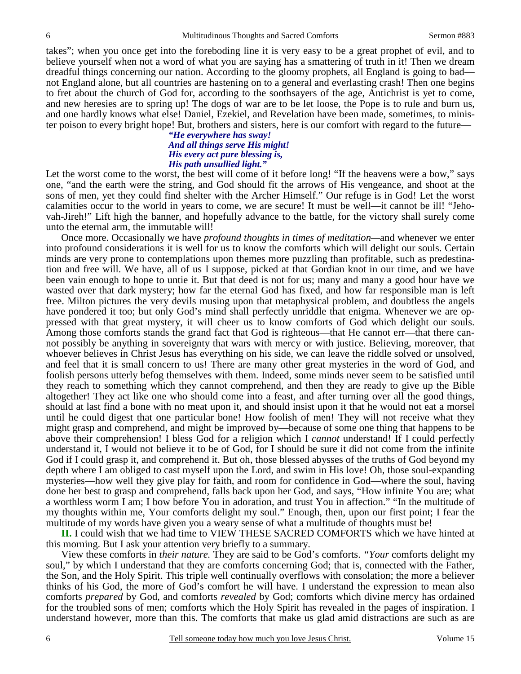takes"; when you once get into the foreboding line it is very easy to be a great prophet of evil, and to believe yourself when not a word of what you are saying has a smattering of truth in it! Then we dream dreadful things concerning our nation. According to the gloomy prophets, all England is going to bad not England alone, but all countries are hastening on to a general and everlasting crash! Then one begins to fret about the church of God for, according to the soothsayers of the age, Antichrist is yet to come, and new heresies are to spring up! The dogs of war are to be let loose, the Pope is to rule and burn us, and one hardly knows what else! Daniel, Ezekiel, and Revelation have been made, sometimes, to minister poison to every bright hope! But, brothers and sisters, here is our comfort with regard to the future—

> *"He everywhere has sway! And all things serve His might! His every act pure blessing is, His path unsullied light."*

Let the worst come to the worst, the best will come of it before long! "If the heavens were a bow," says one, "and the earth were the string, and God should fit the arrows of His vengeance, and shoot at the sons of men, yet they could find shelter with the Archer Himself." Our refuge is in God! Let the worst calamities occur to the world in years to come, we are secure! It must be well—it cannot be ill! "Jehovah-Jireh!" Lift high the banner, and hopefully advance to the battle, for the victory shall surely come unto the eternal arm, the immutable will!

 Once more. Occasionally we have *profound thoughts in times of meditation—*and whenever we enter into profound considerations it is well for us to know the comforts which will delight our souls. Certain minds are very prone to contemplations upon themes more puzzling than profitable, such as predestination and free will. We have, all of us I suppose, picked at that Gordian knot in our time, and we have been vain enough to hope to untie it. But that deed is not for us; many and many a good hour have we wasted over that dark mystery; how far the eternal God has fixed, and how far responsible man is left free. Milton pictures the very devils musing upon that metaphysical problem, and doubtless the angels have pondered it too; but only God's mind shall perfectly unriddle that enigma. Whenever we are oppressed with that great mystery, it will cheer us to know comforts of God which delight our souls. Among those comforts stands the grand fact that God is righteous—that He cannot err—that there cannot possibly be anything in sovereignty that wars with mercy or with justice. Believing, moreover, that whoever believes in Christ Jesus has everything on his side, we can leave the riddle solved or unsolved, and feel that it is small concern to us! There are many other great mysteries in the word of God, and foolish persons utterly befog themselves with them. Indeed, some minds never seem to be satisfied until they reach to something which they cannot comprehend, and then they are ready to give up the Bible altogether! They act like one who should come into a feast, and after turning over all the good things, should at last find a bone with no meat upon it, and should insist upon it that he would not eat a morsel until he could digest that one particular bone! How foolish of men! They will not receive what they might grasp and comprehend, and might be improved by—because of some one thing that happens to be above their comprehension! I bless God for a religion which I *cannot* understand! If I could perfectly understand it, I would not believe it to be of God, for I should be sure it did not come from the infinite God if I could grasp it, and comprehend it. But oh, those blessed abysses of the truths of God beyond my depth where I am obliged to cast myself upon the Lord, and swim in His love! Oh, those soul-expanding mysteries—how well they give play for faith, and room for confidence in God—where the soul, having done her best to grasp and comprehend, falls back upon her God, and says, "How infinite You are; what a worthless worm I am; I bow before You in adoration, and trust You in affection." "In the multitude of my thoughts within me, Your comforts delight my soul." Enough, then, upon our first point; I fear the multitude of my words have given you a weary sense of what a multitude of thoughts must be!

**II.** I could wish that we had time to VIEW THESE SACRED COMFORTS which we have hinted at this morning. But I ask your attention very briefly to a summary.

 View these comforts in *their nature.* They are said to be God's comforts. *"Your* comforts delight my soul," by which I understand that they are comforts concerning God; that is, connected with the Father, the Son, and the Holy Spirit. This triple well continually overflows with consolation; the more a believer thinks of his God, the more of God's comfort he will have. I understand the expression to mean also comforts *prepared* by God, and comforts *revealed* by God; comforts which divine mercy has ordained for the troubled sons of men; comforts which the Holy Spirit has revealed in the pages of inspiration. I understand however, more than this. The comforts that make us glad amid distractions are such as are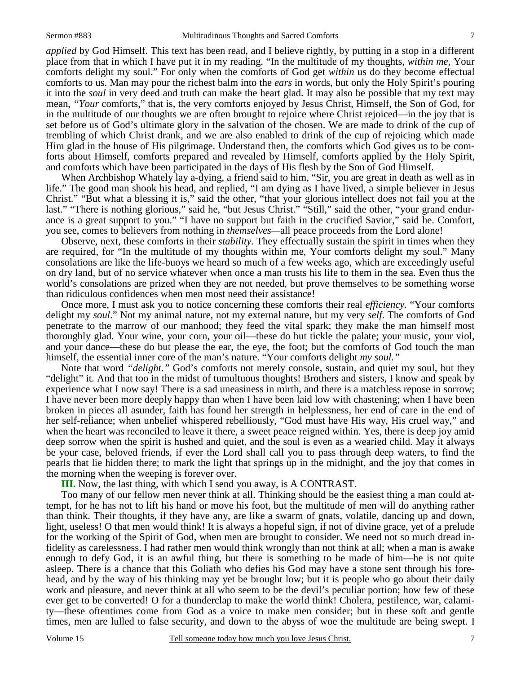*applied* by God Himself. This text has been read, and I believe rightly, by putting in a stop in a different place from that in which I have put it in my reading. "In the multitude of my thoughts, *within me,* Your comforts delight my soul." For only when the comforts of God get *within* us do they become effectual comforts to us. Man may pour the richest balm into the *ears* in words, but only the Holy Spirit's pouring it into the *soul* in very deed and truth can make the heart glad. It may also be possible that my text may mean, *"Your* comforts," that is, the very comforts enjoyed by Jesus Christ, Himself, the Son of God, for in the multitude of our thoughts we are often brought to rejoice where Christ rejoiced—in the joy that is set before us of God's ultimate glory in the salvation of the chosen. We are made to drink of the cup of trembling of which Christ drank, and we are also enabled to drink of the cup of rejoicing which made Him glad in the house of His pilgrimage. Understand then, the comforts which God gives us to be comforts about Himself, comforts prepared and revealed by Himself, comforts applied by the Holy Spirit, and comforts which have been participated in the days of His flesh by the Son of God Himself.

 When Archbishop Whately lay a-dying, a friend said to him, "Sir, you are great in death as well as in life." The good man shook his head, and replied, "I am dying as I have lived, a simple believer in Jesus Christ." "But what a blessing it is," said the other, "that your glorious intellect does not fail you at the last." "There is nothing glorious," said he, "but Jesus Christ." "Still," said the other, "your grand endurance is a great support to you." "I have no support but faith in the crucified Savior," said he. Comfort, you see, comes to believers from nothing in *themselves—*all peace proceeds from the Lord alone!

 Observe, next, these comforts in their *stability.* They effectually sustain the spirit in times when they are required, for "In the multitude of my thoughts within me, Your comforts delight my soul." Many consolations are like the life-buoys we heard so much of a few weeks ago, which are exceedingly useful on dry land, but of no service whatever when once a man trusts his life to them in the sea. Even thus the world's consolations are prized when they are not needed, but prove themselves to be something worse than ridiculous confidences when men most need their assistance!

 Once more, I must ask you to notice concerning these comforts their real *efficiency.* "Your comforts delight my *soul*." Not my animal nature, not my external nature, but my very *self*. The comforts of God penetrate to the marrow of our manhood; they feed the vital spark; they make the man himself most thoroughly glad. Your wine, your corn, your oil—these do but tickle the palate; your music, your viol, and your dance—these do but please the ear, the eye, the foot; but the comforts of God touch the man himself, the essential inner core of the man's nature. "Your comforts delight *my soul."*

 Note that word *"delight."* God's comforts not merely console, sustain, and quiet my soul, but they "delight" it. And that too in the midst of tumultuous thoughts! Brothers and sisters, I know and speak by experience what I now say! There is a sad uneasiness in mirth, and there is a matchless repose in sorrow; I have never been more deeply happy than when I have been laid low with chastening; when I have been broken in pieces all asunder, faith has found her strength in helplessness, her end of care in the end of her self-reliance; when unbelief whispered rebelliously, "God must have His way, His cruel way," and when the heart was reconciled to leave it there, a sweet peace reigned within. Yes, there is deep joy amid deep sorrow when the spirit is hushed and quiet, and the soul is even as a wearied child. May it always be your case, beloved friends, if ever the Lord shall call you to pass through deep waters, to find the pearls that lie hidden there; to mark the light that springs up in the midnight, and the joy that comes in the morning when the weeping is forever over.

**III.** Now, the last thing, with which I send you away, is A CONTRAST.

 Too many of our fellow men never think at all. Thinking should be the easiest thing a man could attempt, for he has not to lift his hand or move his foot, but the multitude of men will do anything rather than think. Their thoughts, if they have any, are like a swarm of gnats, volatile, dancing up and down, light, useless! O that men would think! It is always a hopeful sign, if not of divine grace, yet of a prelude for the working of the Spirit of God, when men are brought to consider. We need not so much dread infidelity as carelessness. I had rather men would think wrongly than not think at all; when a man is awake enough to defy God, it is an awful thing, but there is something to be made of him—he is not quite asleep. There is a chance that this Goliath who defies his God may have a stone sent through his forehead, and by the way of his thinking may yet be brought low; but it is people who go about their daily work and pleasure, and never think at all who seem to be the devil's peculiar portion; how few of these ever get to be converted! O for a thunderclap to make the world think! Cholera, pestilence, war, calamity—these oftentimes come from God as a voice to make men consider; but in these soft and gentle times, men are lulled to false security, and down to the abyss of woe the multitude are being swept. I